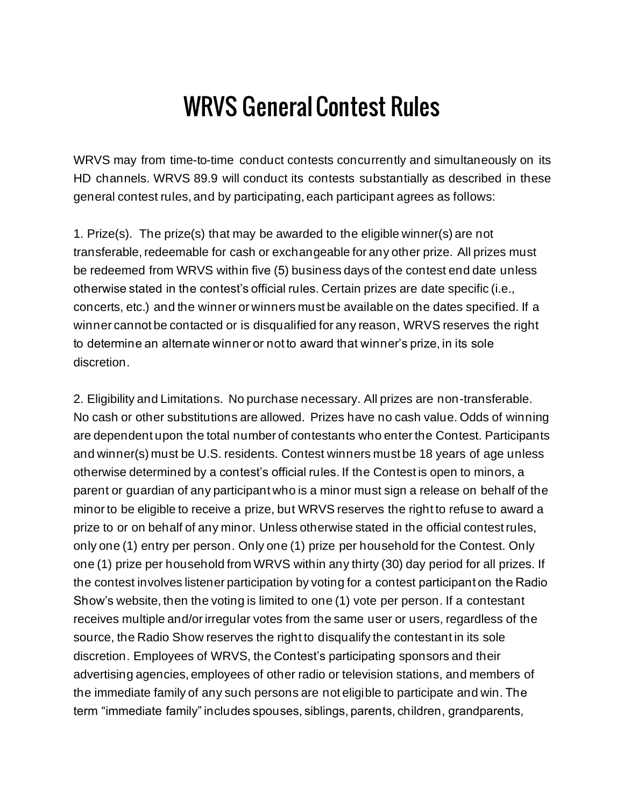## WRVS General Contest Rules

WRVS may from time-to-time conduct contests concurrently and simultaneously on its HD channels. WRVS 89.9 will conduct its contests substantially as described in these general contest rules, and by participating, each participant agrees as follows:

1. Prize(s). The prize(s) that may be awarded to the eligible winner(s) are not transferable, redeemable for cash or exchangeable for any other prize. All prizes must be redeemed from WRVS within five (5) business days of the contest end date unless otherwise stated in the contest's official rules. Certain prizes are date specific (i.e., concerts, etc.) and the winner or winners must be available on the dates specified. If a winner cannot be contacted or is disqualified for any reason, WRVS reserves the right to determine an alternate winner or not to award that winner's prize, in its sole discretion.

2. Eligibility and Limitations. No purchase necessary. All prizes are non-transferable. No cash or other substitutions are allowed. Prizes have no cash value. Odds of winning are dependent upon the total number of contestants who enter the Contest. Participants and winner(s) must be U.S. residents. Contest winners must be 18 years of age unless otherwise determined by a contest's official rules. If the Contest is open to minors, a parent or guardian of any participant who is a minor must sign a release on behalf of the minor to be eligible to receive a prize, but WRVS reserves the right to refuse to award a prize to or on behalf of any minor. Unless otherwise stated in the official contest rules, only one (1) entry per person. Only one (1) prize per household for the Contest. Only one (1) prize per household from WRVS within any thirty (30) day period for all prizes. If the contest involves listener participation by voting for a contest participant on the Radio Show's website, then the voting is limited to one (1) vote per person. If a contestant receives multiple and/or irregular votes from the same user or users, regardless of the source, the Radio Show reserves the right to disqualify the contestant in its sole discretion. Employees of WRVS, the Contest's participating sponsors and their advertising agencies, employees of other radio or television stations, and members of the immediate family of any such persons are not eligible to participate and win. The term "immediate family" includes spouses, siblings, parents, children, grandparents,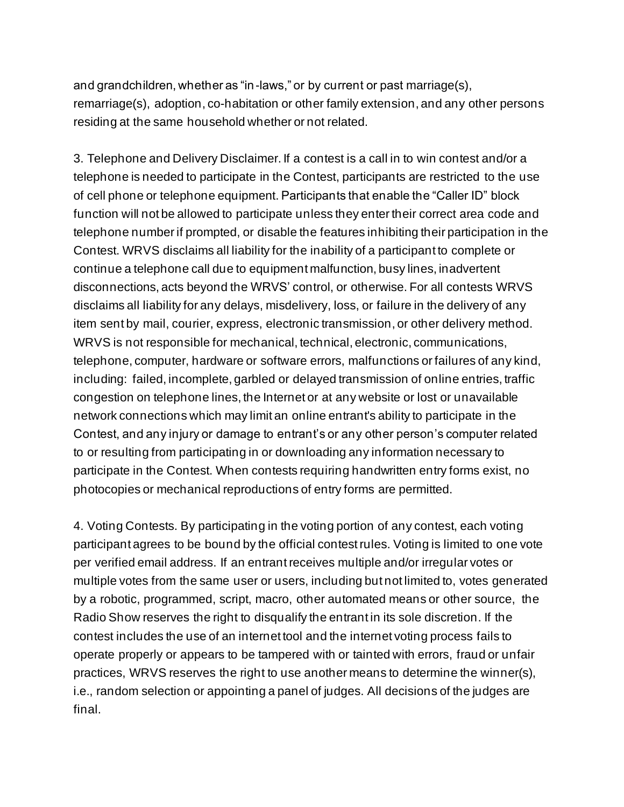and grandchildren, whether as "in-laws," or by current or past marriage(s), remarriage(s), adoption, co-habitation or other family extension, and any other persons residing at the same household whether or not related.

3. Telephone and Delivery Disclaimer. If a contest is a call in to win contest and/or a telephone is needed to participate in the Contest, participants are restricted to the use of cell phone or telephone equipment. Participants that enable the "Caller ID" block function will not be allowed to participate unless they enter their correct area code and telephone number if prompted, or disable the features inhibiting their participation in the Contest. WRVS disclaims all liability for the inability of a participant to complete or continue a telephone call due to equipment malfunction, busy lines, inadvertent disconnections, acts beyond the WRVS' control, or otherwise. For all contests WRVS disclaims all liability for any delays, misdelivery, loss, or failure in the delivery of any item sent by mail, courier, express, electronic transmission, or other delivery method. WRVS is not responsible for mechanical, technical, electronic, communications, telephone, computer, hardware or software errors, malfunctions or failures of any kind, including: failed, incomplete, garbled or delayed transmission of online entries, traffic congestion on telephone lines, the Internet or at any website or lost or unavailable network connections which may limit an online entrant's ability to participate in the Contest, and any injury or damage to entrant's or any other person's computer related to or resulting from participating in or downloading any information necessary to participate in the Contest. When contests requiring handwritten entry forms exist, no photocopies or mechanical reproductions of entry forms are permitted.

4. Voting Contests. By participating in the voting portion of any contest, each voting participant agrees to be bound by the official contest rules. Voting is limited to one vote per verified email address. If an entrant receives multiple and/or irregular votes or multiple votes from the same user or users, including but not limited to, votes generated by a robotic, programmed, script, macro, other automated means or other source, the Radio Show reserves the right to disqualify the entrant in its sole discretion. If the contest includes the use of an internet tool and the internet voting process fails to operate properly or appears to be tampered with or tainted with errors, fraud or unfair practices, WRVS reserves the right to use another means to determine the winner(s), i.e., random selection or appointing a panel of judges. All decisions of the judges are final.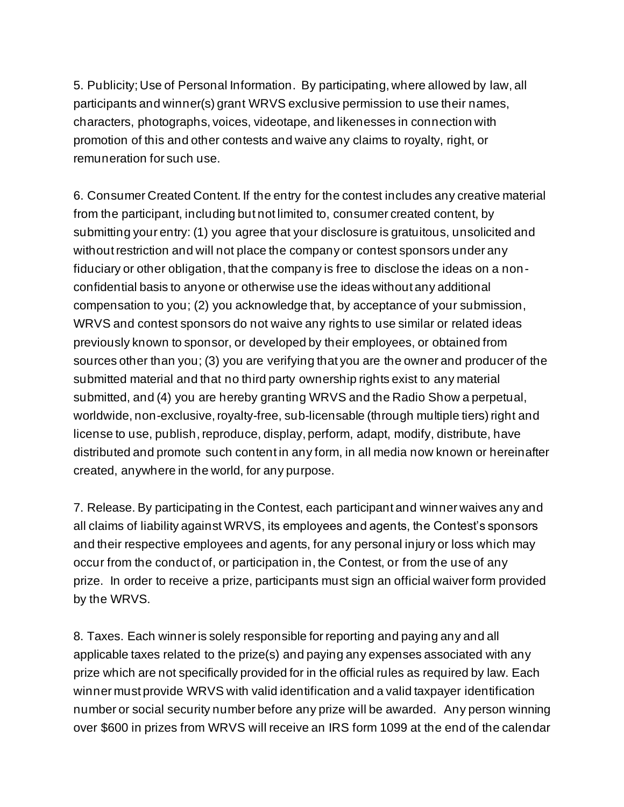5. Publicity; Use of Personal Information. By participating, where allowed by law, all participants and winner(s) grant WRVS exclusive permission to use their names, characters, photographs, voices, videotape, and likenesses in connection with promotion of this and other contests and waive any claims to royalty, right, or remuneration for such use.

6. Consumer Created Content. If the entry for the contest includes any creative material from the participant, including but not limited to, consumer created content, by submitting your entry: (1) you agree that your disclosure is gratuitous, unsolicited and without restriction and will not place the company or contest sponsors under any fiduciary or other obligation, that the company is free to disclose the ideas on a nonconfidential basis to anyone or otherwise use the ideas without any additional compensation to you; (2) you acknowledge that, by acceptance of your submission, WRVS and contest sponsors do not waive any rights to use similar or related ideas previously known to sponsor, or developed by their employees, or obtained from sources other than you; (3) you are verifying that you are the owner and producer of the submitted material and that no third party ownership rights exist to any material submitted, and (4) you are hereby granting WRVS and the Radio Show a perpetual, worldwide, non-exclusive, royalty-free, sub-licensable (through multiple tiers) right and license to use, publish, reproduce, display, perform, adapt, modify, distribute, have distributed and promote such content in any form, in all media now known or hereinafter created, anywhere in the world, for any purpose.

7. Release. By participating in the Contest, each participant and winner waives any and all claims of liability against WRVS, its employees and agents, the Contest's sponsors and their respective employees and agents, for any personal injury or loss which may occur from the conduct of, or participation in, the Contest, or from the use of any prize. In order to receive a prize, participants must sign an official waiver form provided by the WRVS.

8. Taxes. Each winner is solely responsible for reporting and paying any and all applicable taxes related to the prize(s) and paying any expenses associated with any prize which are not specifically provided for in the official rules as required by law. Each winner must provide WRVS with valid identification and a valid taxpayer identification number or social security number before any prize will be awarded. Any person winning over \$600 in prizes from WRVS will receive an IRS form 1099 at the end of the calendar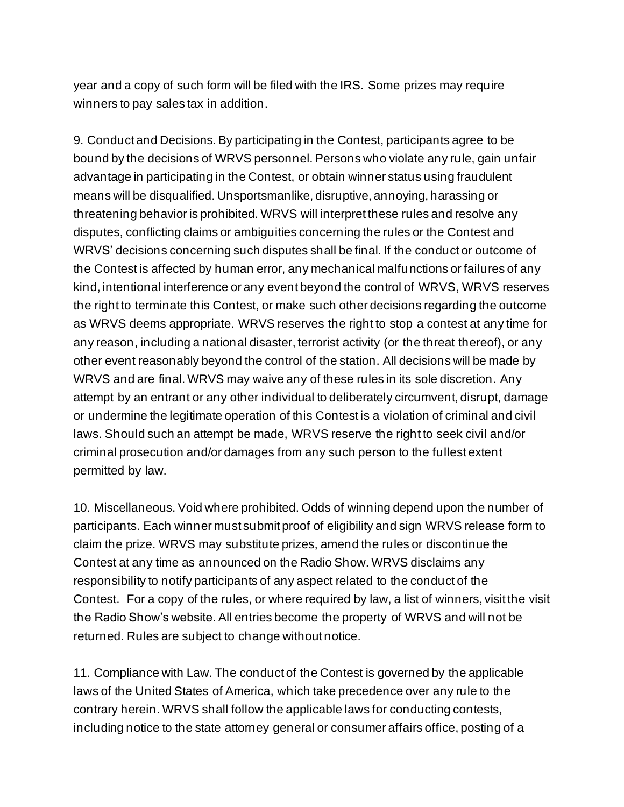year and a copy of such form will be filed with the IRS. Some prizes may require winners to pay sales tax in addition.

9. Conduct and Decisions. By participating in the Contest, participants agree to be bound by the decisions of WRVS personnel. Persons who violate any rule, gain unfair advantage in participating in the Contest, or obtain winner status using fraudulent means will be disqualified. Unsportsmanlike, disruptive, annoying, harassing or threatening behavior is prohibited. WRVS will interpret these rules and resolve any disputes, conflicting claims or ambiguities concerning the rules or the Contest and WRVS' decisions concerning such disputes shall be final. If the conduct or outcome of the Contest is affected by human error, any mechanical malfunctions or failures of any kind, intentional interference or any event beyond the control of WRVS, WRVS reserves the right to terminate this Contest, or make such other decisions regarding the outcome as WRVS deems appropriate. WRVS reserves the right to stop a contest at any time for any reason, including a national disaster, terrorist activity (or the threat thereof), or any other event reasonably beyond the control of the station. All decisions will be made by WRVS and are final. WRVS may waive any of these rules in its sole discretion. Any attempt by an entrant or any other individual to deliberately circumvent, disrupt, damage or undermine the legitimate operation of this Contest is a violation of criminal and civil laws. Should such an attempt be made, WRVS reserve the right to seek civil and/or criminal prosecution and/or damages from any such person to the fullest extent permitted by law.

10. Miscellaneous. Void where prohibited. Odds of winning depend upon the number of participants. Each winner must submit proof of eligibility and sign WRVS release form to claim the prize. WRVS may substitute prizes, amend the rules or discontinue the Contest at any time as announced on the Radio Show. WRVS disclaims any responsibility to notify participants of any aspect related to the conduct of the Contest. For a copy of the rules, or where required by law, a list of winners, visit the visit the Radio Show's website. All entries become the property of WRVS and will not be returned. Rules are subject to change without notice.

11. Compliance with Law. The conduct of the Contest is governed by the applicable laws of the United States of America, which take precedence over any rule to the contrary herein. WRVS shall follow the applicable laws for conducting contests, including notice to the state attorney general or consumer affairs office, posting of a